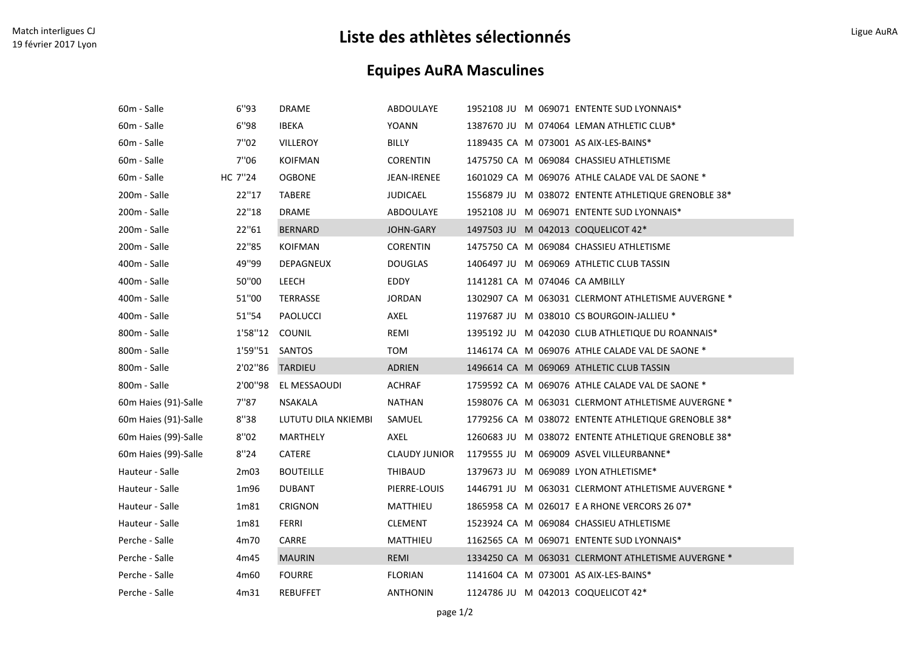## Match interligues CJ<br>19 février 2017 Lyon Ligue AuRA<br>19 février 2017 Lyon Ligue AuRA

## Equipes AuRA Masculines

| 60m - Salle          | 6"93             | <b>DRAME</b>        | ABDOULAYE        | 1952108 JU M 069071 ENTENTE SUD LYONNAIS*           |
|----------------------|------------------|---------------------|------------------|-----------------------------------------------------|
| 60m - Salle          | 6"98             | <b>IBEKA</b>        | YOANN            | 1387670 JU M 074064 LEMAN ATHLETIC CLUB*            |
| 60m - Salle          | 7"02             | VILLEROY            | BILLY            | 1189435 CA M 073001 AS AIX-LES-BAINS*               |
| 60m - Salle          | 7"06             | <b>KOIFMAN</b>      | <b>CORENTIN</b>  | 1475750 CA M 069084 CHASSIEU ATHLETISME             |
| 60m - Salle          | HC 7"24          | <b>OGBONE</b>       | JEAN-IRENEE      | 1601029 CA M 069076 ATHLE CALADE VAL DE SAONE *     |
| 200m - Salle         | 22"17            | TABERE              | <b>JUDICAEL</b>  | 1556879 JU M 038072 ENTENTE ATHLETIQUE GRENOBLE 38* |
| 200m - Salle         | 22"18            | <b>DRAME</b>        | ABDOULAYE        | 1952108 JU M 069071 ENTENTE SUD LYONNAIS*           |
| 200m - Salle         | 22"61            | <b>BERNARD</b>      | <b>JOHN-GARY</b> | 1497503 JU M 042013 COQUELICOT 42*                  |
| 200m - Salle         | 22"85            | <b>KOIFMAN</b>      | <b>CORENTIN</b>  | 1475750 CA M 069084 CHASSIEU ATHLETISME             |
| 400m - Salle         | 49"99            | DEPAGNEUX           | <b>DOUGLAS</b>   | 1406497 JU M 069069 ATHLETIC CLUB TASSIN            |
| 400m - Salle         | 50"00            | LEECH               | EDDY             | 1141281 CA M 074046 CA AMBILLY                      |
| 400m - Salle         | 51"00            | TERRASSE            | <b>JORDAN</b>    | 1302907 CA M 063031 CLERMONT ATHLETISME AUVERGNE *  |
| 400m - Salle         | 51"54            | PAOLUCCI            | AXEL             | 1197687 JU M 038010 CS BOURGOIN-JALLIEU *           |
| 800m - Salle         | 1'58''12         | COUNIL              | REMI             | 1395192 JU M 042030 CLUB ATHLETIQUE DU ROANNAIS*    |
| 800m - Salle         | 1'59"51 SANTOS   |                     | TOM              | 1146174 CA M 069076 ATHLE CALADE VAL DE SAONE *     |
| 800m - Salle         | 2'02''86         | TARDIEU             | ADRIEN           | 1496614 CA M 069069 ATHLETIC CLUB TASSIN            |
| 800m - Salle         | 2'00"98          | EL MESSAOUDI        | <b>ACHRAF</b>    | 1759592 CA M 069076 ATHLE CALADE VAL DE SAONE *     |
| 60m Haies (91)-Salle | 7"87             | NSAKALA             | <b>NATHAN</b>    | 1598076 CA M 063031 CLERMONT ATHLETISME AUVERGNE *  |
| 60m Haies (91)-Salle | 8"38             | LUTUTU DILA NKIEMBI | SAMUEL           | 1779256 CA M 038072 ENTENTE ATHLETIQUE GRENOBLE 38* |
| 60m Haies (99)-Salle | 8"02             | MARTHELY            | AXEL             | 1260683 JU M 038072 ENTENTE ATHLETIQUE GRENOBLE 38* |
| 60m Haies (99)-Salle | 8"24             | <b>CATERE</b>       | CLAUDY JUNIOR    | 1179555 JU M 069009 ASVEL VILLEURBANNE*             |
| Hauteur - Salle      | 2m <sub>03</sub> | <b>BOUTEILLE</b>    | THIBAUD          | 1379673 JU M 069089 LYON ATHLETISME*                |
| Hauteur - Salle      | 1m96             | <b>DUBANT</b>       | PIERRE-LOUIS     | 1446791 JU M 063031 CLERMONT ATHLETISME AUVERGNE *  |
| Hauteur - Salle      | 1m81             | <b>CRIGNON</b>      | MATTHIEU         | 1865958 CA M 026017 E A RHONE VERCORS 26 07*        |
| Hauteur - Salle      | 1m81             | FERRI               | <b>CLEMENT</b>   | 1523924 CA M 069084 CHASSIEU ATHLETISME             |
| Perche - Salle       | 4m70             | CARRE               | MATTHIEU         | 1162565 CA M 069071 ENTENTE SUD LYONNAIS*           |
| Perche - Salle       | 4m45             | <b>MAURIN</b>       | <b>REMI</b>      | 1334250 CA M 063031 CLERMONT ATHLETISME AUVERGNE *  |
| Perche - Salle       | 4m60             | <b>FOURRE</b>       | <b>FLORIAN</b>   | 1141604 CA M 073001 AS AIX-LES-BAINS*               |
| Perche - Salle       | 4m31             | <b>REBUFFET</b>     | <b>ANTHONIN</b>  | 1124786 JU M 042013 COQUELICOT 42*                  |